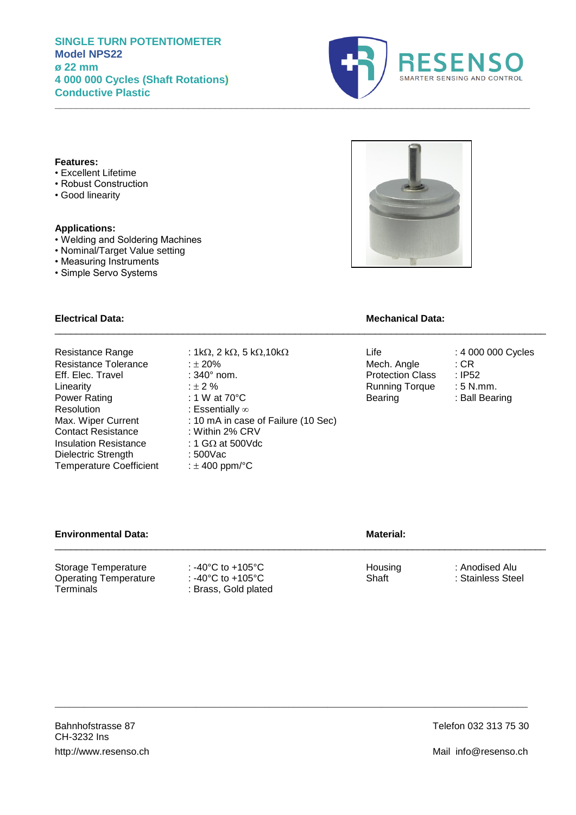# **SINGLE TURN POTENTIOMETER Model NPS22 ø 22 mm 4 000 000 Cycles (Shaft Rotations) Conductive Plastic**



#### **Features:**

- Excellent Lifetime
- Robust Construction
- Good linearity

#### **Applications:**

- Welding and Soldering Machines
- Nominal/Target Value setting
- Measuring Instruments
- Simple Servo Systems



### **Electrical Data: Mechanical Data:**

Resistance Range :  $1k\Omega$ ,  $2 k\Omega$ ,  $5 k\Omega$ ,  $10k\Omega$ <br>
Resistance Tolerance :  $\pm 20\%$ <br>
Resistance Tolerance :  $\pm 20\%$ 

- 
- 
- 
- 
- 
- Resolution : Essentially  $\infty$ <br>Max. Wiper Current : 10 mA in case Contact Resistance Insulation Resistance :  $1 \text{ G}\Omega$  at 500Vdc<br>Dielectric Strength : 500Vac Dielectric Strength Temperature Coefficient : ± 400 ppm/°C
- Resistance Tolerance  $\begin{array}{ccc}\n & \pm 20\% \\
\hline\n\end{array}$  Eff. Elec. Travel  $\begin{array}{ccc}\n & \pm 340^\circ \text{ nom.} \\
\end{array}$  Mech. Angle  $\begin{array}{ccc}\n\end{array}$  CR Eff. Elec. Travel : 340° nom.<br>
Linearity :  $\pm 2\%$  Protection Class 2.1 European integrative contract in the set of the set of the set of the set of the set of the set of the set of the set of the set of the set of the se Linearity <br>  $2\%$ <br>  $2\%$  : 1 W at 70°C <br>
Running Torque : 5 N.mm.<br>
Bearing : Ball Bearing : 8 Rull Bearing : 8 Rull Bearing : 8 Rull Bearing : 1 W at  $70^{\circ}$ C : 10 mA in case of Failure (10 Sec)<br>: Within 2% CRV

 $\_$  ,  $\_$  ,  $\_$  ,  $\_$  ,  $\_$  ,  $\_$  ,  $\_$  ,  $\_$  ,  $\_$  ,  $\_$  ,  $\_$  ,  $\_$  ,  $\_$  ,  $\_$  ,  $\_$  ,  $\_$  ,  $\_$  ,  $\_$  ,  $\_$  ,  $\_$  ,  $\_$  ,  $\_$  ,  $\_$  ,  $\_$  ,  $\_$  ,  $\_$  ,  $\_$  ,  $\_$  ,  $\_$  ,  $\_$  ,  $\_$  ,  $\_$  ,  $\_$  ,  $\_$  ,  $\_$  ,  $\_$  ,  $\_$  ,

**Environmental Data: Material: Material: Material: Material: Material: Material: Material: Material: Material: Material: Material: Material: Material: Material: Material: Material: Materia**  $\_$  ,  $\_$  ,  $\_$  ,  $\_$  ,  $\_$  ,  $\_$  ,  $\_$  ,  $\_$  ,  $\_$  ,  $\_$  ,  $\_$  ,  $\_$  ,  $\_$  ,  $\_$  ,  $\_$  ,  $\_$  ,  $\_$  ,  $\_$  ,  $\_$  ,  $\_$  ,  $\_$  ,  $\_$  ,  $\_$  ,  $\_$  ,  $\_$  ,  $\_$  ,  $\_$  ,  $\_$  ,  $\_$  ,  $\_$  ,  $\_$  ,  $\_$  ,  $\_$  ,  $\_$  ,  $\_$  ,  $\_$  ,  $\_$  , Storage Temperature : -40°C to +105°C<br>
Operating Temperature : -40°C to +105°C<br>
Shaft : Stainless Steel Operating Temperature<br>Terminals : Brass, Gold plated

\_\_\_\_\_\_\_\_\_\_\_\_\_\_\_\_\_\_\_\_\_\_\_\_\_\_\_\_\_\_\_\_\_\_\_\_\_\_\_\_\_\_\_\_\_\_\_\_\_\_\_\_\_\_\_\_\_\_\_\_\_\_\_\_\_\_\_\_\_\_\_\_\_\_\_\_\_\_\_\_\_\_\_\_\_\_\_\_\_\_\_\_\_\_\_\_\_